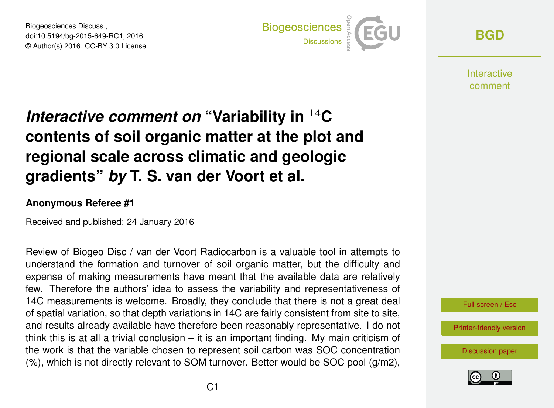Biogeosciences Discuss., doi:10.5194/bg-2015-649-RC1, 2016 © Author(s) 2016. CC-BY 3.0 License.



**[BGD](http://www.biogeosciences-discuss.net/)**

**Interactive** comment

## *Interactive comment on* **"Variability in** <sup>14</sup>**C contents of soil organic matter at the plot and regional scale across climatic and geologic gradients"** *by* **T. S. van der Voort et al.**

## **Anonymous Referee #1**

Received and published: 24 January 2016

Review of Biogeo Disc / van der Voort Radiocarbon is a valuable tool in attempts to understand the formation and turnover of soil organic matter, but the difficulty and expense of making measurements have meant that the available data are relatively few. Therefore the authors' idea to assess the variability and representativeness of 14C measurements is welcome. Broadly, they conclude that there is not a great deal of spatial variation, so that depth variations in 14C are fairly consistent from site to site, and results already available have therefore been reasonably representative. I do not think this is at all a trivial conclusion – it is an important finding. My main criticism of the work is that the variable chosen to represent soil carbon was SOC concentration  $(\%)$ , which is not directly relevant to SOM turnover. Better would be SOC pool  $(q/m2)$ ,



[Printer-friendly version](http://www.biogeosciences-discuss.net/bg-2015-649-RC1-print.pdf)

[Discussion paper](http://www.biogeosciences-discuss.net/bg-2015-649)

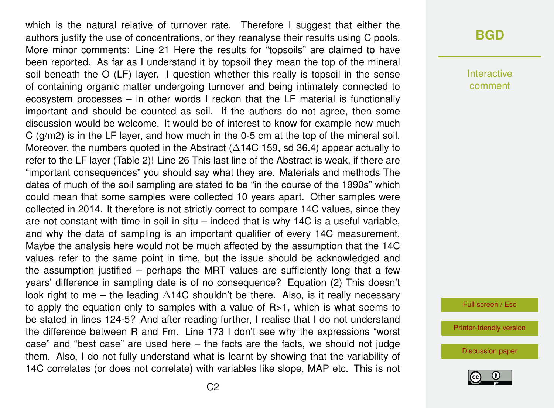which is the natural relative of turnover rate. Therefore I suggest that either the authors justify the use of concentrations, or they reanalyse their results using C pools. More minor comments: Line 21 Here the results for "topsoils" are claimed to have been reported. As far as I understand it by topsoil they mean the top of the mineral soil beneath the O (LF) layer. I question whether this really is topsoil in the sense of containing organic matter undergoing turnover and being intimately connected to ecosystem processes – in other words I reckon that the LF material is functionally important and should be counted as soil. If the authors do not agree, then some discussion would be welcome. It would be of interest to know for example how much C (g/m2) is in the LF layer, and how much in the 0-5 cm at the top of the mineral soil. Moreover, the numbers quoted in the Abstract ( $\triangle$ 14C 159, sd 36.4) appear actually to refer to the LF layer (Table 2)! Line 26 This last line of the Abstract is weak, if there are "important consequences" you should say what they are. Materials and methods The dates of much of the soil sampling are stated to be "in the course of the 1990s" which could mean that some samples were collected 10 years apart. Other samples were collected in 2014. It therefore is not strictly correct to compare 14C values, since they are not constant with time in soil in situ – indeed that is why 14C is a useful variable, and why the data of sampling is an important qualifier of every 14C measurement. Maybe the analysis here would not be much affected by the assumption that the 14C values refer to the same point in time, but the issue should be acknowledged and the assumption justified – perhaps the MRT values are sufficiently long that a few years' difference in sampling date is of no consequence? Equation (2) This doesn't look right to me – the leading ∆14C shouldn't be there. Also, is it really necessary to apply the equation only to samples with a value of  $R>1$ , which is what seems to be stated in lines 124-5? And after reading further, I realise that I do not understand the difference between R and Fm. Line 173 I don't see why the expressions "worst case" and "best case" are used here  $-$  the facts are the facts, we should not judge them. Also, I do not fully understand what is learnt by showing that the variability of 14C correlates (or does not correlate) with variables like slope, MAP etc. This is not

Interactive comment

Full screen / Esc

[Printer-friendly version](http://www.biogeosciences-discuss.net/bg-2015-649-RC1-print.pdf)

[Discussion paper](http://www.biogeosciences-discuss.net/bg-2015-649)